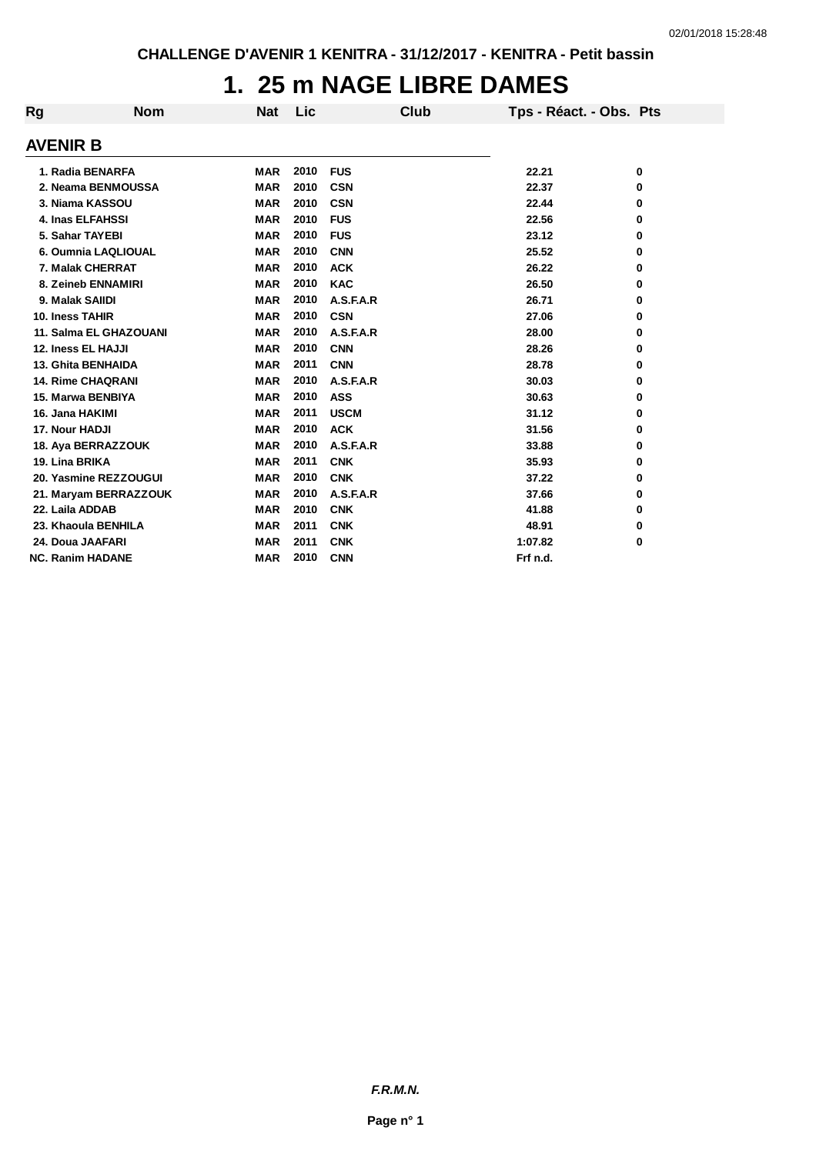## **1. 25 m NAGE LIBRE DAMES**

| <b>AVENIR B</b><br>1. Radia BENARFA<br><b>MAR</b><br>2010<br><b>FUS</b><br>22.21<br>0<br>2. Neama BENMOUSSA<br>2010<br><b>MAR</b><br><b>CSN</b><br>22.37<br>0<br>2010<br>3. Niama KASSOU<br><b>CSN</b><br>22.44<br><b>MAR</b><br>0<br>2010<br><b>4. Inas ELFAHSSI</b><br><b>MAR</b><br><b>FUS</b><br>22.56<br>0<br>2010<br>5. Sahar TAYEBI<br><b>FUS</b><br>23.12<br><b>MAR</b><br>0<br>2010<br>6. Oumnia LAQLIOUAL<br><b>MAR</b><br><b>CNN</b><br>25.52<br>0 | Tps - Réact. - Obs. Pts |
|---------------------------------------------------------------------------------------------------------------------------------------------------------------------------------------------------------------------------------------------------------------------------------------------------------------------------------------------------------------------------------------------------------------------------------------------------------------|-------------------------|
|                                                                                                                                                                                                                                                                                                                                                                                                                                                               |                         |
|                                                                                                                                                                                                                                                                                                                                                                                                                                                               |                         |
|                                                                                                                                                                                                                                                                                                                                                                                                                                                               |                         |
|                                                                                                                                                                                                                                                                                                                                                                                                                                                               |                         |
|                                                                                                                                                                                                                                                                                                                                                                                                                                                               |                         |
|                                                                                                                                                                                                                                                                                                                                                                                                                                                               |                         |
|                                                                                                                                                                                                                                                                                                                                                                                                                                                               |                         |
| 2010<br>7. Malak CHERRAT<br><b>ACK</b><br><b>MAR</b><br>26.22<br>0                                                                                                                                                                                                                                                                                                                                                                                            |                         |
| 2010<br>8. Zeineb ENNAMIRI<br><b>MAR</b><br><b>KAC</b><br>26.50<br>0                                                                                                                                                                                                                                                                                                                                                                                          |                         |
| 2010<br>A.S.F.A.R<br>9. Malak SAIIDI<br><b>MAR</b><br>26.71<br>0                                                                                                                                                                                                                                                                                                                                                                                              |                         |
| 2010<br><b>CSN</b><br>10. Iness TAHIR<br><b>MAR</b><br>27.06<br>0                                                                                                                                                                                                                                                                                                                                                                                             |                         |
| 2010<br>11. Salma EL GHAZOUANI<br><b>MAR</b><br>A.S.F.A.R<br>28.00<br>0                                                                                                                                                                                                                                                                                                                                                                                       |                         |
| 12. Iness EL HAJJI<br><b>MAR</b><br>2010<br><b>CNN</b><br>28.26<br>0                                                                                                                                                                                                                                                                                                                                                                                          |                         |
| 2011<br><b>13. Ghita BENHAIDA</b><br><b>MAR</b><br><b>CNN</b><br>28.78<br>0                                                                                                                                                                                                                                                                                                                                                                                   |                         |
| <b>14. Rime CHAQRANI</b><br>2010<br><b>MAR</b><br>A.S.F.A.R<br>30.03<br>0                                                                                                                                                                                                                                                                                                                                                                                     |                         |
| 2010<br>15. Marwa BENBIYA<br><b>ASS</b><br><b>MAR</b><br>30.63<br>0                                                                                                                                                                                                                                                                                                                                                                                           |                         |
| 2011<br><b>USCM</b><br>16. Jana HAKIMI<br><b>MAR</b><br>31.12<br>0                                                                                                                                                                                                                                                                                                                                                                                            |                         |
| 2010<br>17. Nour HADJI<br><b>ACK</b><br><b>MAR</b><br>31.56<br>0                                                                                                                                                                                                                                                                                                                                                                                              |                         |
| 2010<br>A.S.F.A.R<br>18. Aya BERRAZZOUK<br><b>MAR</b><br>33.88<br>0                                                                                                                                                                                                                                                                                                                                                                                           |                         |
| 2011<br><b>CNK</b><br>19. Lina BRIKA<br><b>MAR</b><br>35.93<br>0                                                                                                                                                                                                                                                                                                                                                                                              |                         |
| 2010<br>20. Yasmine REZZOUGUI<br><b>CNK</b><br><b>MAR</b><br>37.22<br>0                                                                                                                                                                                                                                                                                                                                                                                       |                         |
| 2010<br>21. Maryam BERRAZZOUK<br><b>MAR</b><br>A.S.F.A.R<br>37.66<br>0                                                                                                                                                                                                                                                                                                                                                                                        |                         |
| 2010<br>22. Laila ADDAB<br><b>CNK</b><br><b>MAR</b><br>41.88<br>0                                                                                                                                                                                                                                                                                                                                                                                             |                         |
| 2011<br>23. Khaoula BENHILA<br><b>MAR</b><br><b>CNK</b><br>48.91<br>0                                                                                                                                                                                                                                                                                                                                                                                         |                         |
| 2011<br>24. Doua JAAFARI<br><b>MAR</b><br><b>CNK</b><br>1:07.82<br>0                                                                                                                                                                                                                                                                                                                                                                                          |                         |
| 2010<br><b>MAR</b><br><b>CNN</b><br>Frf n.d.<br><b>NC. Ranim HADANE</b>                                                                                                                                                                                                                                                                                                                                                                                       |                         |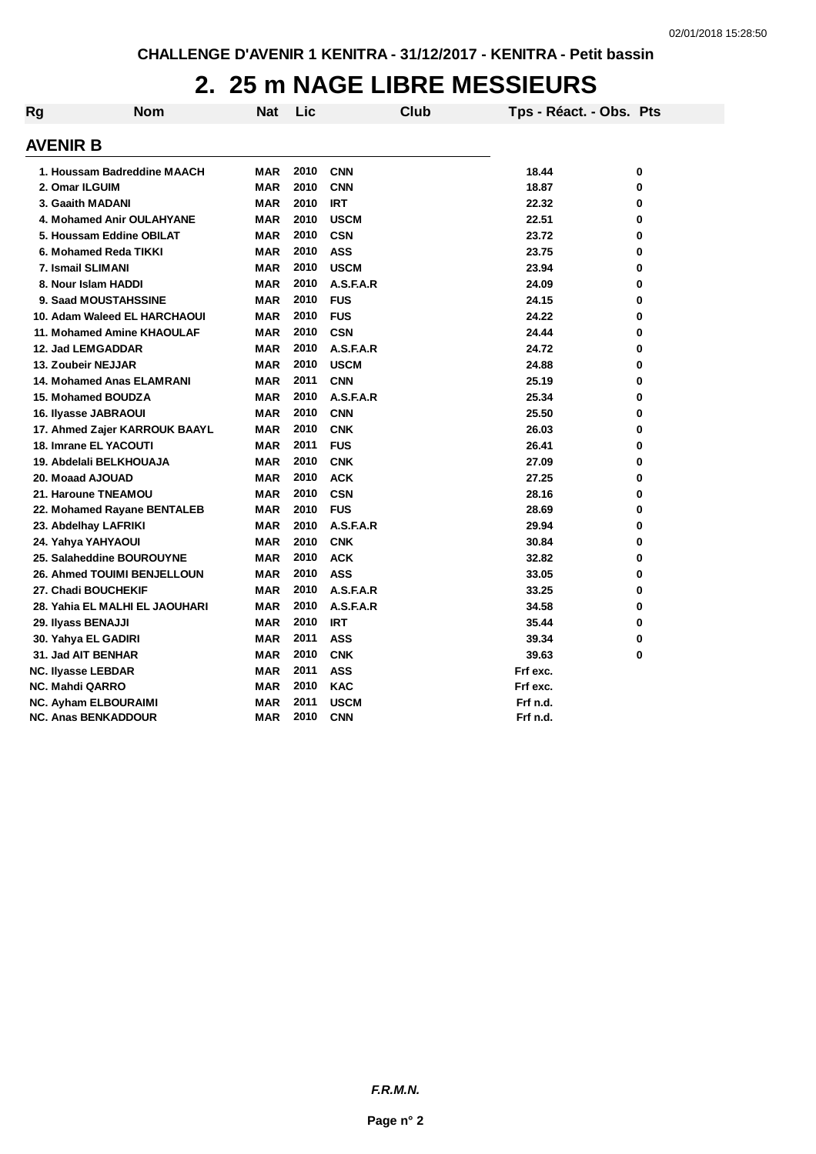## **2. 25 m NAGE LIBRE MESSIEURS**

| Rg | <b>Nom</b>                         | <b>Nat</b> | Lic  | Club        | Tps - Réact. - Obs. Pts |   |
|----|------------------------------------|------------|------|-------------|-------------------------|---|
|    | <b>AVENIR B</b>                    |            |      |             |                         |   |
|    | 1. Houssam Badreddine MAACH        | <b>MAR</b> | 2010 | <b>CNN</b>  | 18.44                   | 0 |
|    | 2. Omar ILGUIM                     | <b>MAR</b> | 2010 | <b>CNN</b>  | 18.87                   | 0 |
|    | 3. Gaaith MADANI                   | <b>MAR</b> | 2010 | <b>IRT</b>  | 22.32                   | 0 |
|    | 4. Mohamed Anir OULAHYANE          | <b>MAR</b> | 2010 | <b>USCM</b> | 22.51                   | 0 |
|    | 5. Houssam Eddine OBILAT           | <b>MAR</b> | 2010 | <b>CSN</b>  | 23.72                   | 0 |
|    | 6. Mohamed Reda TIKKI              | <b>MAR</b> | 2010 | <b>ASS</b>  | 23.75                   | 0 |
|    | 7. Ismail SLIMANI                  | <b>MAR</b> | 2010 | <b>USCM</b> | 23.94                   | 0 |
|    | 8. Nour Islam HADDI                | <b>MAR</b> | 2010 | A.S.F.A.R   | 24.09                   | 0 |
|    | 9. Saad MOUSTAHSSINE               | <b>MAR</b> | 2010 | <b>FUS</b>  | 24.15                   | 0 |
|    | 10. Adam Waleed EL HARCHAOUI       | MAR        | 2010 | <b>FUS</b>  | 24.22                   | 0 |
|    | 11. Mohamed Amine KHAOULAF         | <b>MAR</b> | 2010 | <b>CSN</b>  | 24.44                   | 0 |
|    | 12. Jad LEMGADDAR                  | <b>MAR</b> | 2010 | A.S.F.A.R   | 24.72                   | 0 |
|    | 13. Zoubeir NEJJAR                 | <b>MAR</b> | 2010 | <b>USCM</b> | 24.88                   | 0 |
|    | <b>14. Mohamed Anas ELAMRANI</b>   | <b>MAR</b> | 2011 | <b>CNN</b>  | 25.19                   | 0 |
|    | 15. Mohamed BOUDZA                 | <b>MAR</b> | 2010 | A.S.F.A.R   | 25.34                   | 0 |
|    | 16. Ilyasse JABRAOUI               | <b>MAR</b> | 2010 | <b>CNN</b>  | 25.50                   | 0 |
|    | 17. Ahmed Zajer KARROUK BAAYL      | <b>MAR</b> | 2010 | <b>CNK</b>  | 26.03                   | 0 |
|    | <b>18. Imrane EL YACOUTI</b>       | <b>MAR</b> | 2011 | <b>FUS</b>  | 26.41                   | 0 |
|    | 19. Abdelali BELKHOUAJA            | <b>MAR</b> | 2010 | <b>CNK</b>  | 27.09                   | 0 |
|    | 20. Moaad AJOUAD                   | <b>MAR</b> | 2010 | <b>ACK</b>  | 27.25                   | 0 |
|    | 21. Haroune TNEAMOU                | <b>MAR</b> | 2010 | <b>CSN</b>  | 28.16                   | 0 |
|    | 22. Mohamed Rayane BENTALEB        | <b>MAR</b> | 2010 | <b>FUS</b>  | 28.69                   | 0 |
|    | 23. Abdelhay LAFRIKI               | <b>MAR</b> | 2010 | A.S.F.A.R   | 29.94                   | 0 |
|    | 24. Yahya YAHYAOUI                 | <b>MAR</b> | 2010 | <b>CNK</b>  | 30.84                   | 0 |
|    | 25. Salaheddine BOUROUYNE          | <b>MAR</b> | 2010 | <b>ACK</b>  | 32.82                   | 0 |
|    | <b>26. Ahmed TOUIMI BENJELLOUN</b> | <b>MAR</b> | 2010 | <b>ASS</b>  | 33.05                   | 0 |
|    | 27. Chadi BOUCHEKIF                | <b>MAR</b> | 2010 | A.S.F.A.R   | 33.25                   | 0 |
|    | 28. Yahia EL MALHI EL JAOUHARI     | <b>MAR</b> | 2010 | A.S.F.A.R   | 34.58                   | 0 |
|    | 29. Ilyass BENAJJI                 | <b>MAR</b> | 2010 | <b>IRT</b>  | 35.44                   | 0 |
|    | 30. Yahya EL GADIRI                | <b>MAR</b> | 2011 | <b>ASS</b>  | 39.34                   | 0 |
|    | 31. Jad AIT BENHAR                 | <b>MAR</b> | 2010 | <b>CNK</b>  | 39.63                   | 0 |
|    | <b>NC. Ilyasse LEBDAR</b>          | <b>MAR</b> | 2011 | <b>ASS</b>  | Frf exc.                |   |
|    | NC. Mahdi QARRO                    | MAR        | 2010 | <b>KAC</b>  | Frf exc.                |   |
|    | <b>NC. Ayham ELBOURAIMI</b>        | <b>MAR</b> | 2011 | <b>USCM</b> | Frf n.d.                |   |
|    | <b>NC. Anas BENKADDOUR</b>         | <b>MAR</b> | 2010 | <b>CNN</b>  | Frf n.d.                |   |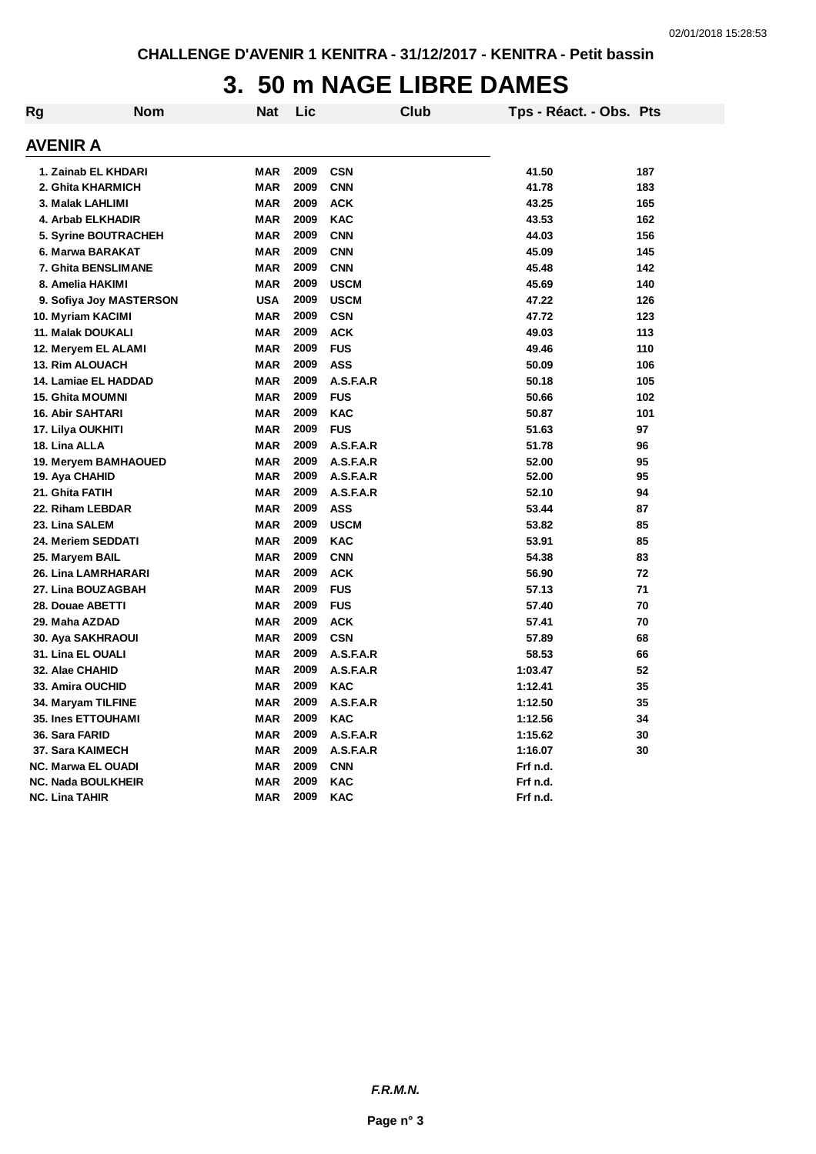## **3. 50 m NAGE LIBRE DAMES**

| Rg | Nom                       | <b>Nat</b> | Lic  | Club        | Tps - Réact. - Obs. Pts |     |
|----|---------------------------|------------|------|-------------|-------------------------|-----|
|    | <b>AVENIR A</b>           |            |      |             |                         |     |
|    | 1. Zainab EL KHDARI       | <b>MAR</b> | 2009 | <b>CSN</b>  | 41.50                   | 187 |
|    | 2. Ghita KHARMICH         | <b>MAR</b> | 2009 | <b>CNN</b>  | 41.78                   | 183 |
|    | 3. Malak LAHLIMI          | <b>MAR</b> | 2009 | <b>ACK</b>  | 43.25                   | 165 |
|    | 4. Arbab ELKHADIR         | <b>MAR</b> | 2009 | <b>KAC</b>  | 43.53                   | 162 |
|    | 5. Syrine BOUTRACHEH      | <b>MAR</b> | 2009 | <b>CNN</b>  | 44.03                   | 156 |
|    | 6. Marwa BARAKAT          | <b>MAR</b> | 2009 | <b>CNN</b>  | 45.09                   | 145 |
|    | 7. Ghita BENSLIMANE       | <b>MAR</b> | 2009 | <b>CNN</b>  | 45.48                   | 142 |
|    | 8. Amelia HAKIMI          | <b>MAR</b> | 2009 | <b>USCM</b> | 45.69                   | 140 |
|    | 9. Sofiya Joy MASTERSON   | <b>USA</b> | 2009 | <b>USCM</b> | 47.22                   | 126 |
|    | 10. Myriam KACIMI         | <b>MAR</b> | 2009 | <b>CSN</b>  | 47.72                   | 123 |
|    | 11. Malak DOUKALI         | <b>MAR</b> | 2009 | <b>ACK</b>  | 49.03                   | 113 |
|    | 12. Meryem EL ALAMI       | <b>MAR</b> | 2009 | <b>FUS</b>  | 49.46                   | 110 |
|    | <b>13. Rim ALOUACH</b>    | <b>MAR</b> | 2009 | <b>ASS</b>  | 50.09                   | 106 |
|    | 14. Lamiae EL HADDAD      | MAR        | 2009 | A.S.F.A.R   | 50.18                   | 105 |
|    | <b>15. Ghita MOUMNI</b>   | <b>MAR</b> | 2009 | <b>FUS</b>  | 50.66                   | 102 |
|    | <b>16. Abir SAHTARI</b>   | <b>MAR</b> | 2009 | <b>KAC</b>  | 50.87                   | 101 |
|    | 17. Lilya OUKHITI         | MAR        | 2009 | <b>FUS</b>  | 51.63                   | 97  |
|    | 18. Lina ALLA             | <b>MAR</b> | 2009 | A.S.F.A.R   | 51.78                   | 96  |
|    | 19. Meryem BAMHAOUED      | <b>MAR</b> | 2009 | A.S.F.A.R   | 52.00                   | 95  |
|    | 19. Aya CHAHID            | <b>MAR</b> | 2009 | A.S.F.A.R   | 52.00                   | 95  |
|    | 21. Ghita FATIH           | <b>MAR</b> | 2009 | A.S.F.A.R   | 52.10                   | 94  |
|    | 22. Riham LEBDAR          | <b>MAR</b> | 2009 | <b>ASS</b>  | 53.44                   | 87  |
|    | 23. Lina SALEM            | <b>MAR</b> | 2009 | <b>USCM</b> | 53.82                   | 85  |
|    | 24. Meriem SEDDATI        | <b>MAR</b> | 2009 | <b>KAC</b>  | 53.91                   | 85  |
|    | 25. Maryem BAIL           | <b>MAR</b> | 2009 | <b>CNN</b>  | 54.38                   | 83  |
|    | 26. Lina LAMRHARARI       | <b>MAR</b> | 2009 | <b>ACK</b>  | 56.90                   | 72  |
|    | 27. Lina BOUZAGBAH        | <b>MAR</b> | 2009 | <b>FUS</b>  | 57.13                   | 71  |
|    | 28. Douae ABETTI          | <b>MAR</b> | 2009 | <b>FUS</b>  | 57.40                   | 70  |
|    | 29. Maha AZDAD            | <b>MAR</b> | 2009 | <b>ACK</b>  | 57.41                   | 70  |
|    | 30. Aya SAKHRAOUI         | <b>MAR</b> | 2009 | <b>CSN</b>  | 57.89                   | 68  |
|    | 31. Lina EL OUALI         | <b>MAR</b> | 2009 | A.S.F.A.R   | 58.53                   | 66  |
|    | 32. Alae CHAHID           | <b>MAR</b> | 2009 | A.S.F.A.R   | 1:03.47                 | 52  |
|    | 33. Amira OUCHID          | <b>MAR</b> | 2009 | <b>KAC</b>  | 1:12.41                 | 35  |
|    | 34. Maryam TILFINE        | <b>MAR</b> | 2009 | A.S.F.A.R   | 1:12.50                 | 35  |
|    | 35. Ines ETTOUHAMI        | <b>MAR</b> | 2009 | <b>KAC</b>  | 1:12.56                 | 34  |
|    | 36. Sara FARID            | <b>MAR</b> | 2009 | A.S.F.A.R   | 1:15.62                 | 30  |
|    | 37. Sara KAIMECH          | <b>MAR</b> | 2009 | A.S.F.A.R   | 1:16.07                 | 30  |
|    | <b>NC. Marwa EL OUADI</b> | <b>MAR</b> | 2009 | <b>CNN</b>  | Frf n.d.                |     |
|    | <b>NC. Nada BOULKHEIR</b> | <b>MAR</b> | 2009 | <b>KAC</b>  | Frf n.d.                |     |
|    | <b>NC. Lina TAHIR</b>     | <b>MAR</b> | 2009 | <b>KAC</b>  | Frf n.d.                |     |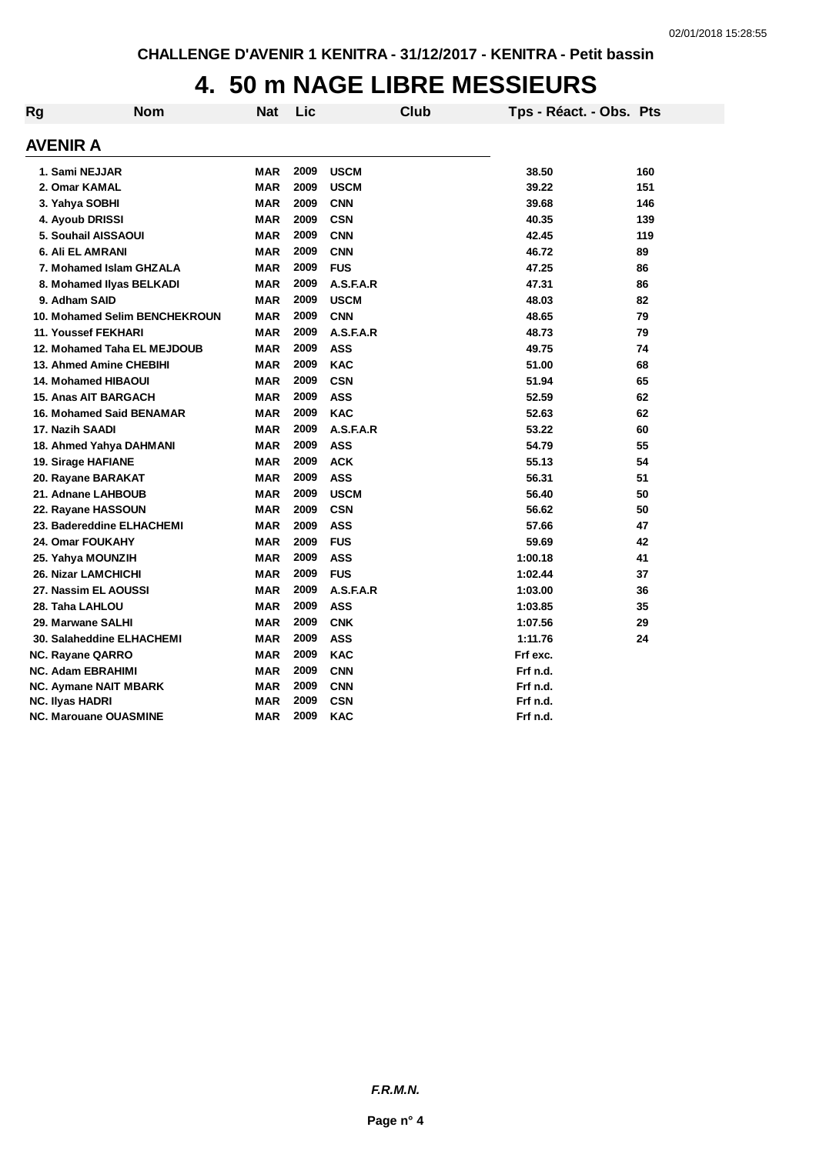## **4. 50 m NAGE LIBRE MESSIEURS**

| Rg | <b>Nom</b>                      | <b>Nat</b> | Lic  | Club        | Tps - Réact. - Obs. Pts |     |
|----|---------------------------------|------------|------|-------------|-------------------------|-----|
|    | <b>AVENIR A</b>                 |            |      |             |                         |     |
|    | 1. Sami NEJJAR                  | <b>MAR</b> | 2009 | <b>USCM</b> | 38.50                   | 160 |
|    | 2. Omar KAMAL                   | <b>MAR</b> | 2009 | <b>USCM</b> | 39.22                   | 151 |
|    | 3. Yahya SOBHI                  | <b>MAR</b> | 2009 | <b>CNN</b>  | 39.68                   | 146 |
|    | 4. Ayoub DRISSI                 | <b>MAR</b> | 2009 | <b>CSN</b>  | 40.35                   | 139 |
|    | 5. Souhail AISSAOUI             | <b>MAR</b> | 2009 | <b>CNN</b>  | 42.45                   | 119 |
|    | 6. Ali EL AMRANI                | <b>MAR</b> | 2009 | <b>CNN</b>  | 46.72                   | 89  |
|    | 7. Mohamed Islam GHZALA         | <b>MAR</b> | 2009 | <b>FUS</b>  | 47.25                   | 86  |
|    | 8. Mohamed Ilyas BELKADI        | <b>MAR</b> | 2009 | A.S.F.A.R   | 47.31                   | 86  |
|    | 9. Adham SAID                   | <b>MAR</b> | 2009 | <b>USCM</b> | 48.03                   | 82  |
|    | 10. Mohamed Selim BENCHEKROUN   | <b>MAR</b> | 2009 | <b>CNN</b>  | 48.65                   | 79  |
|    | 11. Youssef FEKHARI             | <b>MAR</b> | 2009 | A.S.F.A.R   | 48.73                   | 79  |
|    | 12. Mohamed Taha EL MEJDOUB     | <b>MAR</b> | 2009 | <b>ASS</b>  | 49.75                   | 74  |
|    | 13. Ahmed Amine CHEBIHI         | <b>MAR</b> | 2009 | <b>KAC</b>  | 51.00                   | 68  |
|    | <b>14. Mohamed HIBAOUI</b>      | <b>MAR</b> | 2009 | <b>CSN</b>  | 51.94                   | 65  |
|    | <b>15. Anas AIT BARGACH</b>     | <b>MAR</b> | 2009 | <b>ASS</b>  | 52.59                   | 62  |
|    | <b>16. Mohamed Said BENAMAR</b> | <b>MAR</b> | 2009 | <b>KAC</b>  | 52.63                   | 62  |
|    | 17. Nazih SAADI                 | <b>MAR</b> | 2009 | A.S.F.A.R   | 53.22                   | 60  |
|    | 18. Ahmed Yahya DAHMANI         | <b>MAR</b> | 2009 | <b>ASS</b>  | 54.79                   | 55  |
|    | 19. Sirage HAFIANE              | <b>MAR</b> | 2009 | <b>ACK</b>  | 55.13                   | 54  |
|    | 20. Rayane BARAKAT              | <b>MAR</b> | 2009 | <b>ASS</b>  | 56.31                   | 51  |
|    | 21. Adnane LAHBOUB              | <b>MAR</b> | 2009 | <b>USCM</b> | 56.40                   | 50  |
|    | 22. Rayane HASSOUN              | <b>MAR</b> | 2009 | <b>CSN</b>  | 56.62                   | 50  |
|    | 23. Badereddine ELHACHEMI       | <b>MAR</b> | 2009 | <b>ASS</b>  | 57.66                   | 47  |
|    | 24. Omar FOUKAHY                | <b>MAR</b> | 2009 | <b>FUS</b>  | 59.69                   | 42  |
|    | 25. Yahya MOUNZIH               | <b>MAR</b> | 2009 | <b>ASS</b>  | 1:00.18                 | 41  |
|    | <b>26. Nizar LAMCHICHI</b>      | <b>MAR</b> | 2009 | <b>FUS</b>  | 1:02.44                 | 37  |
|    | 27. Nassim EL AOUSSI            | <b>MAR</b> | 2009 | A.S.F.A.R   | 1:03.00                 | 36  |
|    | 28. Taha LAHLOU                 | <b>MAR</b> | 2009 | <b>ASS</b>  | 1:03.85                 | 35  |
|    | 29. Marwane SALHI               | <b>MAR</b> | 2009 | <b>CNK</b>  | 1:07.56                 | 29  |
|    | 30. Salaheddine ELHACHEMI       | <b>MAR</b> | 2009 | <b>ASS</b>  | 1:11.76                 | 24  |
|    | NC. Rayane QARRO                | <b>MAR</b> | 2009 | <b>KAC</b>  | Frf exc.                |     |
|    | <b>NC. Adam EBRAHIMI</b>        | <b>MAR</b> | 2009 | <b>CNN</b>  | Frf n.d.                |     |
|    | NC. Aymane NAIT MBARK           | <b>MAR</b> | 2009 | <b>CNN</b>  | Frf n.d.                |     |
|    | <b>NC. Ilyas HADRI</b>          | <b>MAR</b> | 2009 | <b>CSN</b>  | Frf n.d.                |     |
|    | NC. Marouane OUASMINE           | <b>MAR</b> | 2009 | <b>KAC</b>  | Frf n.d.                |     |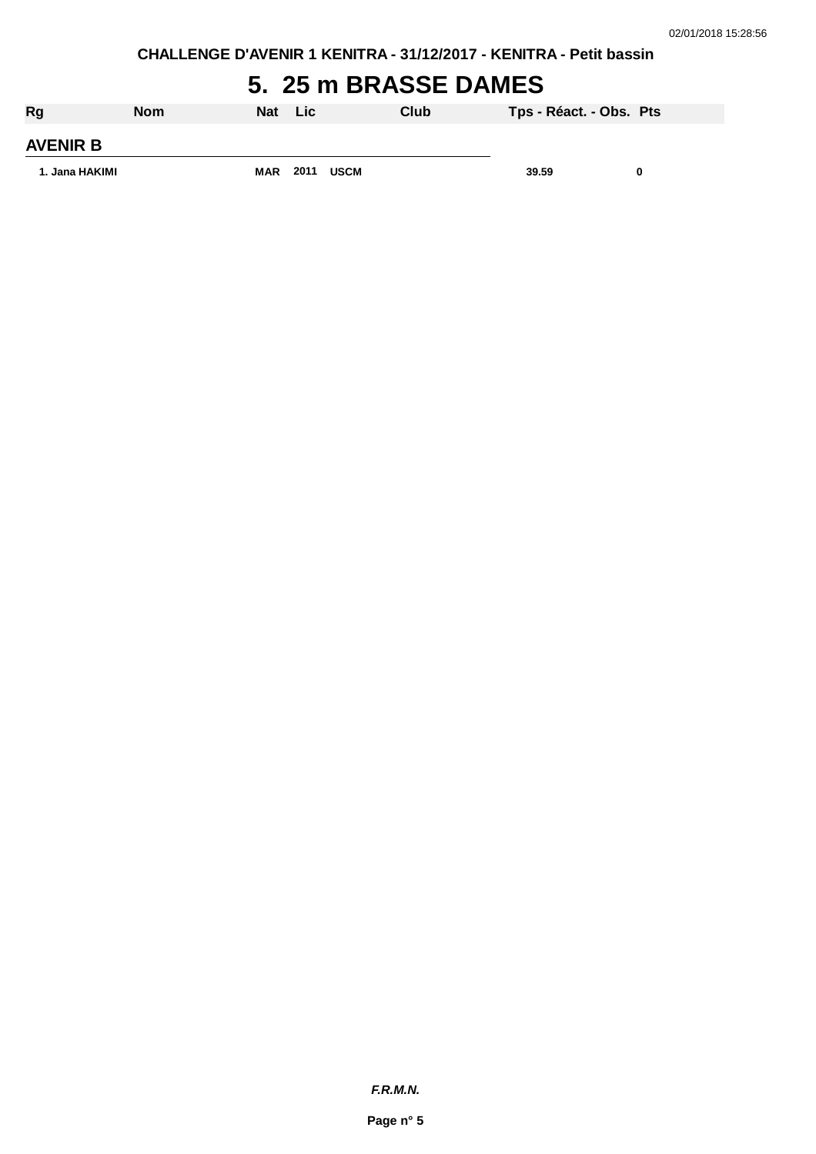**CHALLENGE D'AVENIR 1 KENITRA - 31/12/2017 - KENITRA - Petit bassin**

## **5. 25 m BRASSE DAMES**

| Rg              | <b>Nom</b> | <b>Nat</b> | Lic  |             | Club | Tps - Réact. - Obs. Pts |   |
|-----------------|------------|------------|------|-------------|------|-------------------------|---|
| <b>AVENIR B</b> |            |            |      |             |      |                         |   |
| 1. Jana HAKIMI  |            | <b>MAR</b> | 2011 | <b>USCM</b> |      | 39.59                   | n |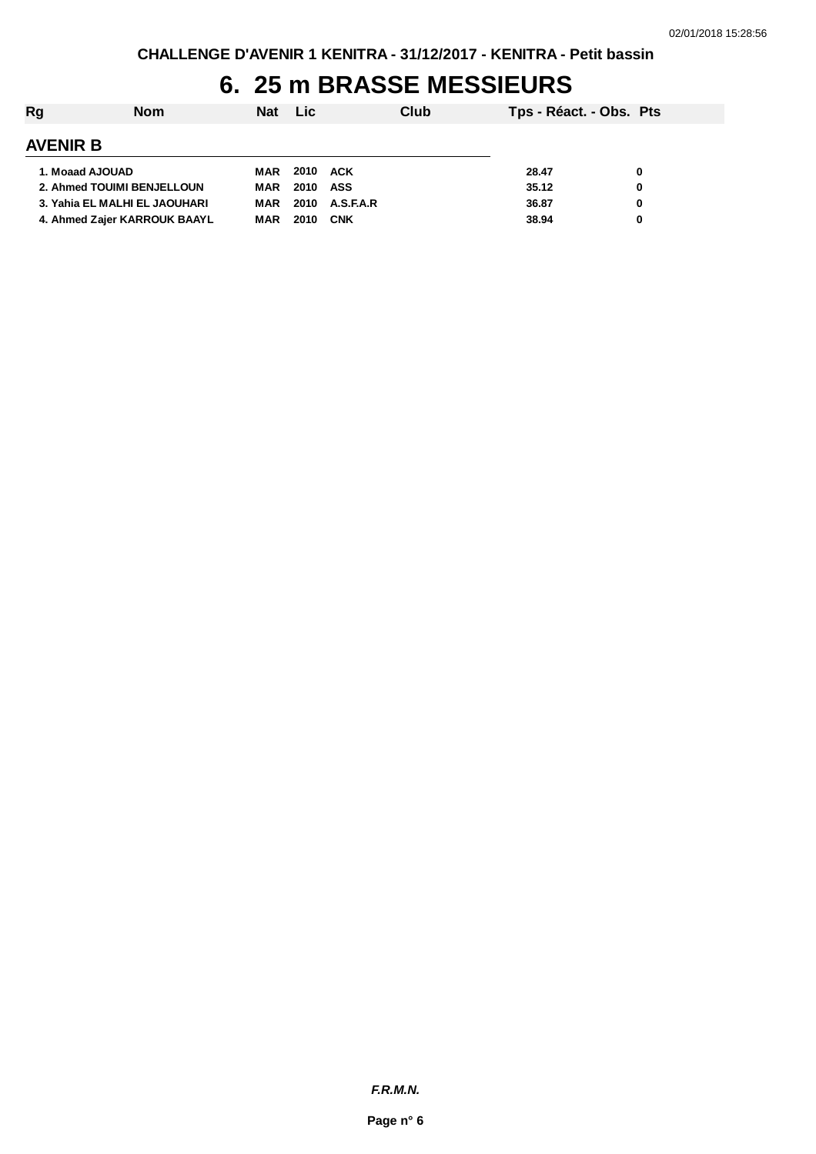## **6. 25 m BRASSE MESSIEURS**

| Rg                            | <b>Nom</b> | Nat Lic |          |                | Club | Tps - Réact. - Obs. Pts |   |
|-------------------------------|------------|---------|----------|----------------|------|-------------------------|---|
| <b>AVENIR B</b>               |            |         |          |                |      |                         |   |
| 1. Moaad AJOUAD               |            | MAR     | 2010 ACK |                |      | 28.47                   | 0 |
| 2. Ahmed TOUIMI BENJELLOUN    |            | MAR     | 2010 ASS |                |      | 35.12                   | 0 |
| 3. Yahia EL MALHI EL JAOUHARI |            | MAR     |          | 2010 A.S.F.A.R |      | 36.87                   | 0 |
| 4. Ahmed Zajer KARROUK BAAYL  |            | MAR     | 2010     | <b>CNK</b>     |      | 38.94                   | 0 |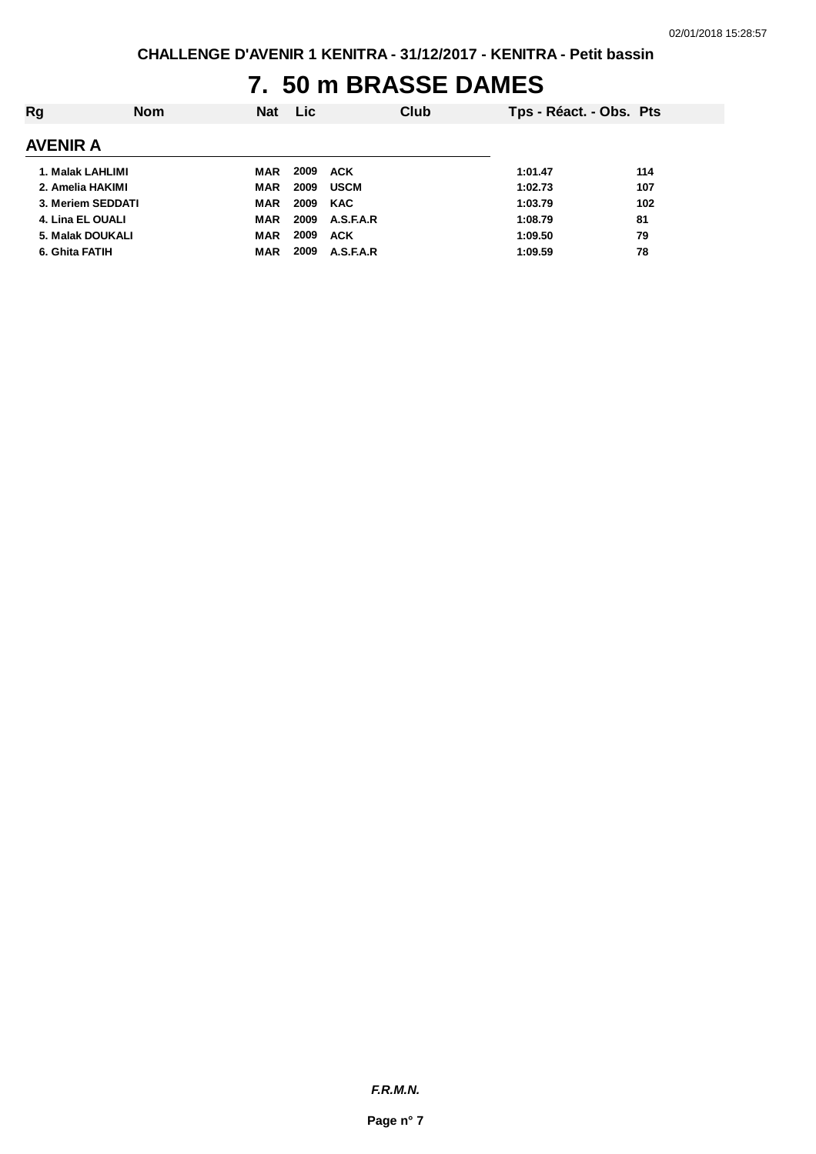## **7. 50 m BRASSE DAMES**

| Rg                      | <b>Nom</b> | <b>Nat</b> | <b>Lic</b> |             | Club | Tps - Réact. - Obs. Pts |     |
|-------------------------|------------|------------|------------|-------------|------|-------------------------|-----|
| <b>AVENIR A</b>         |            |            |            |             |      |                         |     |
| 1. Malak LAHLIMI        |            | MAR        | 2009       | <b>ACK</b>  |      | 1:01.47                 | 114 |
| 2. Amelia HAKIMI        |            | MAR        | 2009       | <b>USCM</b> |      | 1:02.73                 | 107 |
| 3. Meriem SEDDATI       |            | MAR        | 2009       | <b>KAC</b>  |      | 1:03.79                 | 102 |
| 4. Lina EL OUALI        |            | <b>MAR</b> | 2009       | A.S.F.A.R   |      | 1:08.79                 | 81  |
| <b>5. Malak DOUKALI</b> |            | <b>MAR</b> | 2009       | <b>ACK</b>  |      | 1:09.50                 | 79  |
| 6. Ghita FATIH          |            | MAR        | 2009       | A.S.F.A.R   |      | 1:09.59                 | 78  |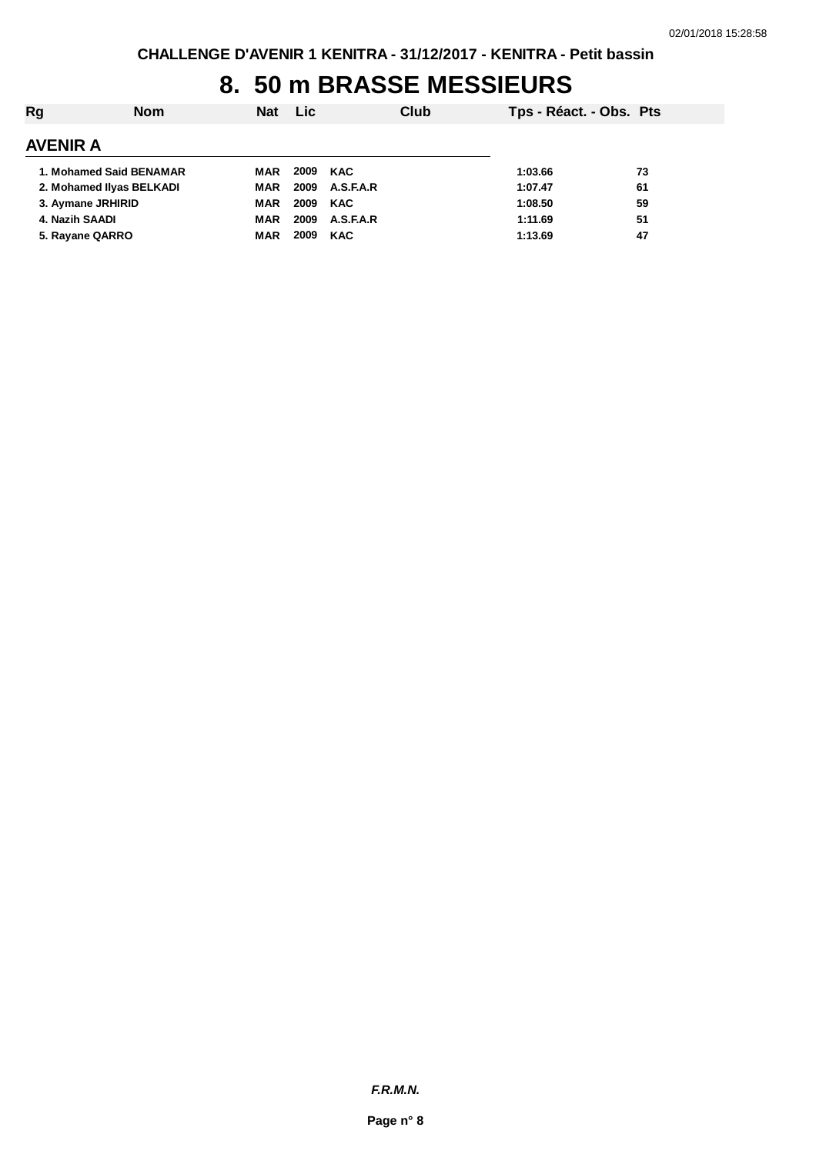## **8. 50 m BRASSE MESSIEURS**

| Rg              | <b>Nom</b>               | <b>Nat</b> | <b>Lic</b> |            | Club | Tps - Réact. - Obs. Pts |    |
|-----------------|--------------------------|------------|------------|------------|------|-------------------------|----|
| <b>AVENIR A</b> |                          |            |            |            |      |                         |    |
|                 | 1. Mohamed Said BENAMAR  | MAR        | 2009 KAC   |            |      | 1:03.66                 | 73 |
|                 | 2. Mohamed Ilyas BELKADI | MAR        | 2009       | A.S.F.A.R  |      | 1:07.47                 | 61 |
|                 | 3. Aymane JRHIRID        | MAR        | 2009 KAC   |            |      | 1:08.50                 | 59 |
|                 | 4. Nazih SAADI           | MAR        | 2009       | A.S.F.A.R  |      | 1:11.69                 | 51 |
|                 | 5. Rayane QARRO          | MAR        | 2009       | <b>KAC</b> |      | 1:13.69                 | 47 |
|                 |                          |            |            |            |      |                         |    |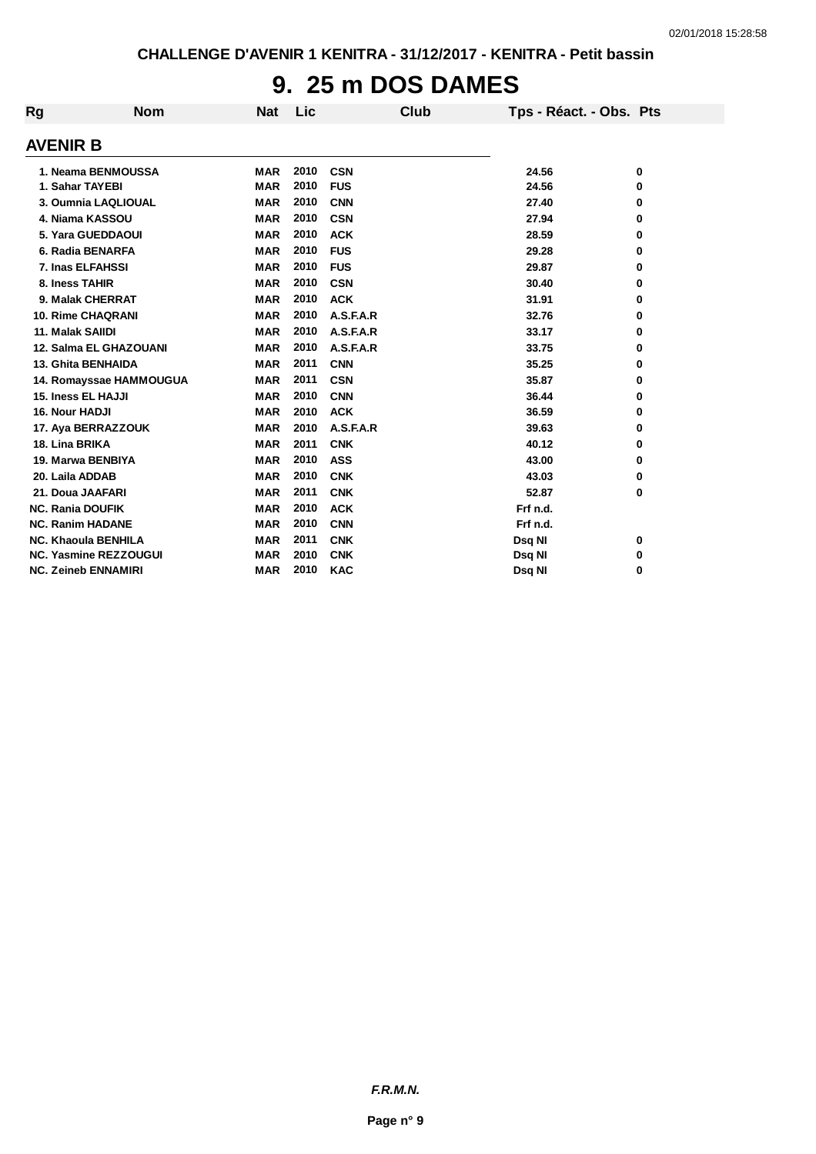# **9. 25 m DOS DAMES**

| Rg                      | <b>Nom</b>                   | <b>Nat</b> | Lic  | <b>Club</b> | Tps - Réact. - Obs. Pts |   |
|-------------------------|------------------------------|------------|------|-------------|-------------------------|---|
| <b>AVENIR B</b>         |                              |            |      |             |                         |   |
|                         | 1. Neama BENMOUSSA           | <b>MAR</b> | 2010 | <b>CSN</b>  | 24.56                   | 0 |
| 1. Sahar TAYEBI         |                              | <b>MAR</b> | 2010 | <b>FUS</b>  | 24.56                   | 0 |
|                         | 3. Oumnia LAQLIOUAL          | <b>MAR</b> | 2010 | <b>CNN</b>  | 27.40                   | 0 |
|                         | 4. Niama KASSOU              | <b>MAR</b> | 2010 | <b>CSN</b>  | 27.94                   | 0 |
|                         | 5. Yara GUEDDAOUI            | <b>MAR</b> | 2010 | <b>ACK</b>  | 28.59                   | 0 |
|                         | 6. Radia BENARFA             | <b>MAR</b> | 2010 | <b>FUS</b>  | 29.28                   | 0 |
| 7. Inas ELFAHSSI        |                              | <b>MAR</b> | 2010 | <b>FUS</b>  | 29.87                   | 0 |
| 8. Iness TAHIR          |                              | <b>MAR</b> | 2010 | <b>CSN</b>  | 30.40                   | 0 |
|                         | 9. Malak CHERRAT             | <b>MAR</b> | 2010 | <b>ACK</b>  | 31.91                   | 0 |
|                         | <b>10. Rime CHAQRANI</b>     | <b>MAR</b> | 2010 | A.S.F.A.R   | 32.76                   | 0 |
| 11. Malak SAIIDI        |                              | <b>MAR</b> | 2010 | A.S.F.A.R   | 33.17                   | 0 |
|                         | 12. Salma EL GHAZOUANI       | <b>MAR</b> | 2010 | A.S.F.A.R   | 33.75                   | 0 |
|                         | <b>13. Ghita BENHAIDA</b>    | <b>MAR</b> | 2011 | <b>CNN</b>  | 35.25                   | 0 |
|                         | 14. Romayssae HAMMOUGUA      | <b>MAR</b> | 2011 | <b>CSN</b>  | 35.87                   | 0 |
| 15. Iness EL HAJJI      |                              | <b>MAR</b> | 2010 | <b>CNN</b>  | 36.44                   | 0 |
| 16. Nour HADJI          |                              | <b>MAR</b> | 2010 | <b>ACK</b>  | 36.59                   | 0 |
|                         | 17. Aya BERRAZZOUK           | <b>MAR</b> | 2010 | A.S.F.A.R   | 39.63                   | 0 |
| 18. Lina BRIKA          |                              | <b>MAR</b> | 2011 | <b>CNK</b>  | 40.12                   | 0 |
| 19. Marwa BENBIYA       |                              | <b>MAR</b> | 2010 | <b>ASS</b>  | 43.00                   | 0 |
| 20. Laila ADDAB         |                              | <b>MAR</b> | 2010 | <b>CNK</b>  | 43.03                   | 0 |
| 21. Doua JAAFARI        |                              | <b>MAR</b> | 2011 | <b>CNK</b>  | 52.87                   | 0 |
| <b>NC. Rania DOUFIK</b> |                              | <b>MAR</b> | 2010 | <b>ACK</b>  | Frf n.d.                |   |
| <b>NC. Ranim HADANE</b> |                              | <b>MAR</b> | 2010 | <b>CNN</b>  | Frf n.d.                |   |
|                         | <b>NC. Khaoula BENHILA</b>   | <b>MAR</b> | 2011 | <b>CNK</b>  | Dsq NI                  | 0 |
|                         | <b>NC. Yasmine REZZOUGUI</b> | <b>MAR</b> | 2010 | <b>CNK</b>  | Dsq NI                  | 0 |
|                         | <b>NC. Zeineb ENNAMIRI</b>   | <b>MAR</b> | 2010 | <b>KAC</b>  | Dsq NI                  | 0 |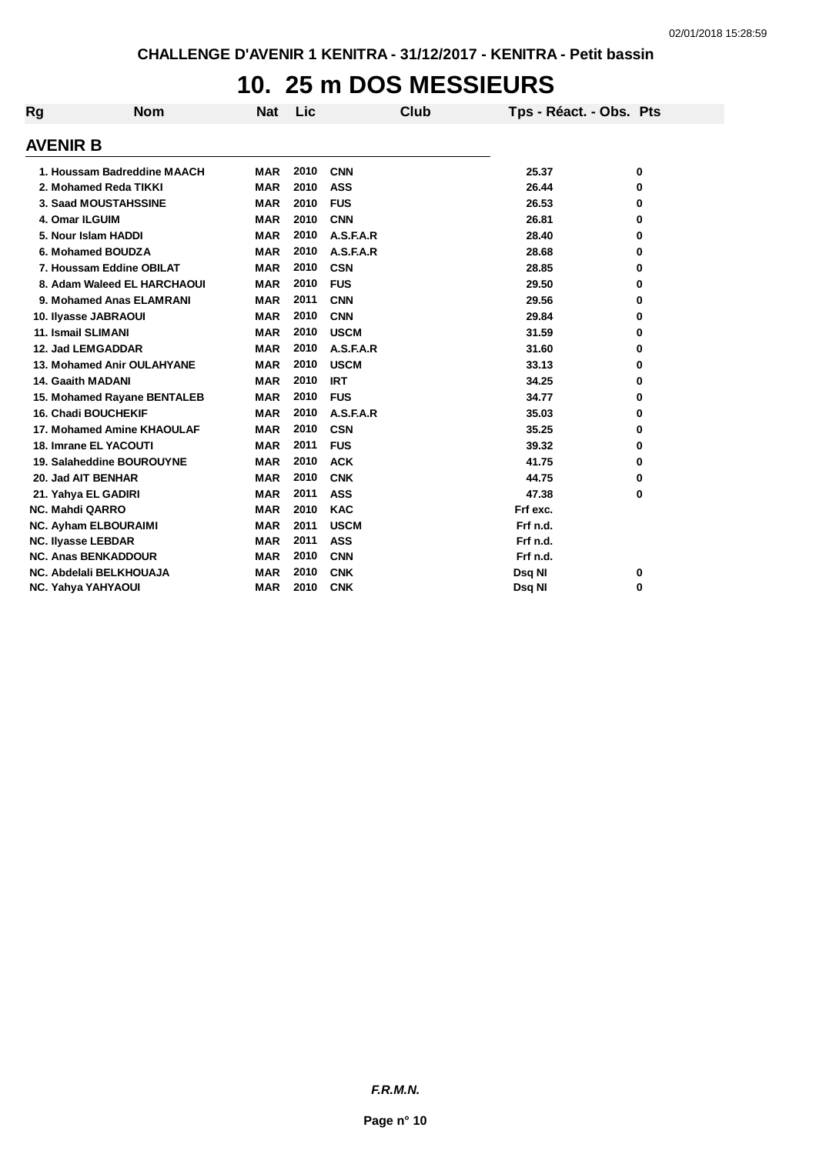## **10. 25 m DOS MESSIEURS**

| Rg                     | <b>Nom</b>                   | Nat        | Lic  | Club        | Tps - Réact. - Obs. Pts |   |
|------------------------|------------------------------|------------|------|-------------|-------------------------|---|
| <b>AVENIR B</b>        |                              |            |      |             |                         |   |
|                        | 1. Houssam Badreddine MAACH  | <b>MAR</b> | 2010 | <b>CNN</b>  | 25.37                   | 0 |
|                        | 2. Mohamed Reda TIKKI        | <b>MAR</b> | 2010 | <b>ASS</b>  | 26.44                   | 0 |
|                        | 3. Saad MOUSTAHSSINE         | <b>MAR</b> | 2010 | <b>FUS</b>  | 26.53                   | 0 |
| 4. Omar ILGUIM         |                              | <b>MAR</b> | 2010 | <b>CNN</b>  | 26.81                   | 0 |
|                        | 5. Nour Islam HADDI          | <b>MAR</b> | 2010 | A.S.F.A.R   | 28.40                   | 0 |
|                        | 6. Mohamed BOUDZA            | <b>MAR</b> | 2010 | A.S.F.A.R   | 28.68                   | 0 |
|                        | 7. Houssam Eddine OBILAT     | <b>MAR</b> | 2010 | <b>CSN</b>  | 28.85                   | 0 |
|                        | 8. Adam Waleed EL HARCHAOUI  | <b>MAR</b> | 2010 | <b>FUS</b>  | 29.50                   | 0 |
|                        | 9. Mohamed Anas ELAMRANI     | <b>MAR</b> | 2011 | <b>CNN</b>  | 29.56                   | 0 |
|                        | 10. Ilyasse JABRAOUI         | <b>MAR</b> | 2010 | <b>CNN</b>  | 29.84                   | 0 |
|                        | 11. Ismail SLIMANI           | <b>MAR</b> | 2010 | <b>USCM</b> | 31.59                   | 0 |
|                        | 12. Jad LEMGADDAR            | <b>MAR</b> | 2010 | A.S.F.A.R   | 31.60                   | 0 |
|                        | 13. Mohamed Anir OULAHYANE   | <b>MAR</b> | 2010 | <b>USCM</b> | 33.13                   | 0 |
|                        | <b>14. Gaaith MADANI</b>     | <b>MAR</b> | 2010 | <b>IRT</b>  | 34.25                   | 0 |
|                        | 15. Mohamed Rayane BENTALEB  | <b>MAR</b> | 2010 | <b>FUS</b>  | 34.77                   | 0 |
|                        | <b>16. Chadi BOUCHEKIF</b>   | <b>MAR</b> | 2010 | A.S.F.A.R   | 35.03                   | 0 |
|                        | 17. Mohamed Amine KHAOULAF   | <b>MAR</b> | 2010 | <b>CSN</b>  | 35.25                   | 0 |
|                        | <b>18. Imrane EL YACOUTI</b> | <b>MAR</b> | 2011 | <b>FUS</b>  | 39.32                   | 0 |
|                        | 19. Salaheddine BOUROUYNE    | <b>MAR</b> | 2010 | <b>ACK</b>  | 41.75                   | 0 |
|                        | 20. Jad AIT BENHAR           | <b>MAR</b> | 2010 | <b>CNK</b>  | 44.75                   | 0 |
|                        | 21. Yahya EL GADIRI          | <b>MAR</b> | 2011 | <b>ASS</b>  | 47.38                   | 0 |
| <b>NC. Mahdi QARRO</b> |                              | <b>MAR</b> | 2010 | <b>KAC</b>  | Frf exc.                |   |
|                        | <b>NC. Ayham ELBOURAIMI</b>  | <b>MAR</b> | 2011 | <b>USCM</b> | Frf n.d.                |   |
|                        | <b>NC. Ilyasse LEBDAR</b>    | <b>MAR</b> | 2011 | <b>ASS</b>  | Frf n.d.                |   |
|                        | <b>NC. Anas BENKADDOUR</b>   | <b>MAR</b> | 2010 | <b>CNN</b>  | Frf n.d.                |   |
|                        | NC. Abdelali BELKHOUAJA      | <b>MAR</b> | 2010 | <b>CNK</b>  | Dsq NI                  | 0 |
|                        | <b>NC. Yahya YAHYAOUI</b>    | <b>MAR</b> | 2010 | <b>CNK</b>  | Dsg NI                  | 0 |

*F.R.M.N.*

**Page n° 10**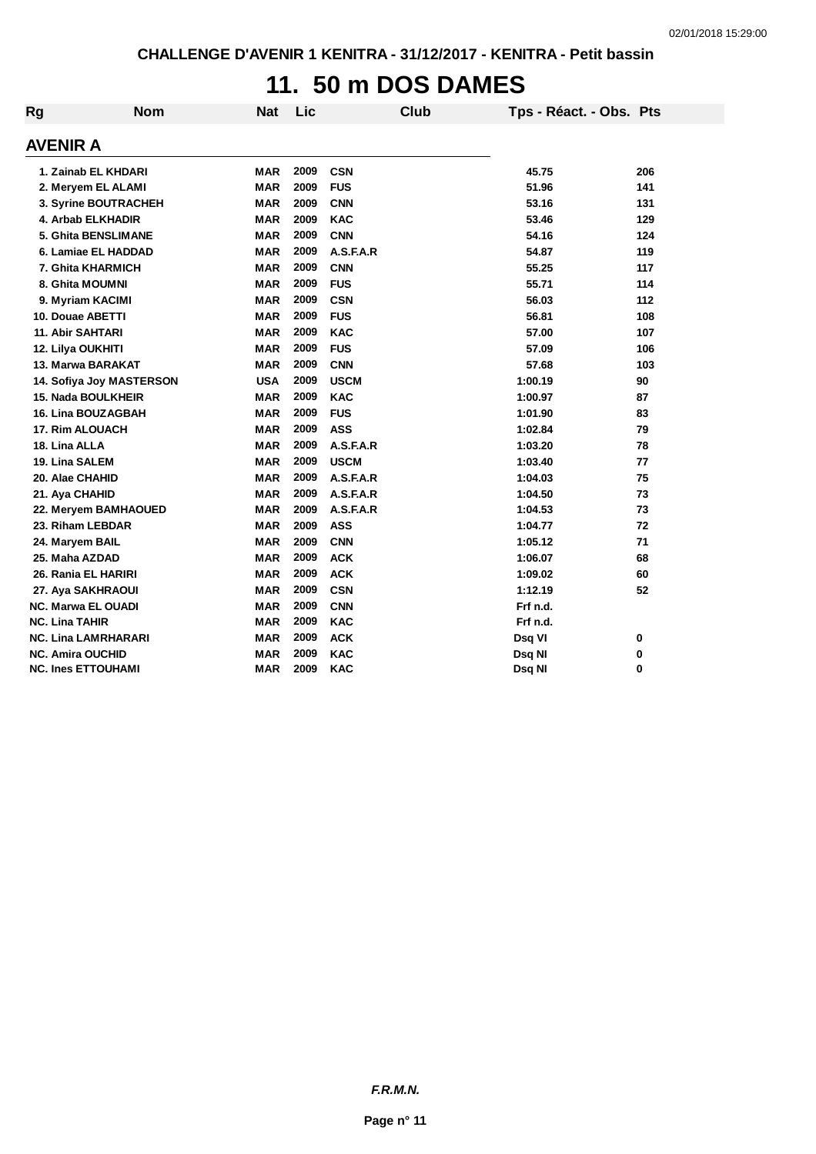# **11. 50 m DOS DAMES**

| Rg | <b>Nom</b>                 | <b>Nat</b> | Lic  |             | <b>Club</b> | Tps - Réact. - Obs. Pts |     |
|----|----------------------------|------------|------|-------------|-------------|-------------------------|-----|
|    | <b>AVENIR A</b>            |            |      |             |             |                         |     |
|    | 1. Zainab EL KHDARI        | <b>MAR</b> | 2009 | <b>CSN</b>  |             | 45.75                   | 206 |
|    | 2. Meryem EL ALAMI         | <b>MAR</b> | 2009 | <b>FUS</b>  |             | 51.96                   | 141 |
|    | 3. Syrine BOUTRACHEH       | <b>MAR</b> | 2009 | <b>CNN</b>  |             | 53.16                   | 131 |
|    | 4. Arbab ELKHADIR          | <b>MAR</b> | 2009 | <b>KAC</b>  |             | 53.46                   | 129 |
|    | 5. Ghita BENSLIMANE        | <b>MAR</b> | 2009 | <b>CNN</b>  |             | 54.16                   | 124 |
|    | 6. Lamiae EL HADDAD        | <b>MAR</b> | 2009 | A.S.F.A.R   |             | 54.87                   | 119 |
|    | <b>7. Ghita KHARMICH</b>   | <b>MAR</b> | 2009 | <b>CNN</b>  |             | 55.25                   | 117 |
|    | 8. Ghita MOUMNI            | <b>MAR</b> | 2009 | <b>FUS</b>  |             | 55.71                   | 114 |
|    | 9. Myriam KACIMI           | <b>MAR</b> | 2009 | <b>CSN</b>  |             | 56.03                   | 112 |
|    | 10. Douae ABETTI           | <b>MAR</b> | 2009 | <b>FUS</b>  |             | 56.81                   | 108 |
|    | <b>11. Abir SAHTARI</b>    | <b>MAR</b> | 2009 | <b>KAC</b>  |             | 57.00                   | 107 |
|    | 12. Lilya OUKHITI          | <b>MAR</b> | 2009 | <b>FUS</b>  |             | 57.09                   | 106 |
|    | 13. Marwa BARAKAT          | <b>MAR</b> | 2009 | <b>CNN</b>  |             | 57.68                   | 103 |
|    | 14. Sofiya Joy MASTERSON   | <b>USA</b> | 2009 | <b>USCM</b> |             | 1:00.19                 | 90  |
|    | 15. Nada BOULKHEIR         | <b>MAR</b> | 2009 | <b>KAC</b>  |             | 1:00.97                 | 87  |
|    | <b>16. Lina BOUZAGBAH</b>  | <b>MAR</b> | 2009 | <b>FUS</b>  |             | 1:01.90                 | 83  |
|    | <b>17. Rim ALOUACH</b>     | <b>MAR</b> | 2009 | <b>ASS</b>  |             | 1:02.84                 | 79  |
|    | 18. Lina ALLA              | <b>MAR</b> | 2009 | A.S.F.A.R   |             | 1:03.20                 | 78  |
|    | 19. Lina SALEM             | <b>MAR</b> | 2009 | <b>USCM</b> |             | 1:03.40                 | 77  |
|    | 20. Alae CHAHID            | <b>MAR</b> | 2009 | A.S.F.A.R   |             | 1:04.03                 | 75  |
|    | 21. Aya CHAHID             | <b>MAR</b> | 2009 | A.S.F.A.R   |             | 1:04.50                 | 73  |
|    | 22. Meryem BAMHAOUED       | <b>MAR</b> | 2009 | A.S.F.A.R   |             | 1:04.53                 | 73  |
|    | 23. Riham LEBDAR           | <b>MAR</b> | 2009 | <b>ASS</b>  |             | 1:04.77                 | 72  |
|    | 24. Maryem BAIL            | <b>MAR</b> | 2009 | <b>CNN</b>  |             | 1:05.12                 | 71  |
|    | 25. Maha AZDAD             | <b>MAR</b> | 2009 | <b>ACK</b>  |             | 1:06.07                 | 68  |
|    | 26. Rania EL HARIRI        | <b>MAR</b> | 2009 | <b>ACK</b>  |             | 1:09.02                 | 60  |
|    | 27. Aya SAKHRAOUI          | <b>MAR</b> | 2009 | <b>CSN</b>  |             | 1:12.19                 | 52  |
|    | <b>NC. Marwa EL OUADI</b>  | <b>MAR</b> | 2009 | <b>CNN</b>  |             | Frf n.d.                |     |
|    | <b>NC. Lina TAHIR</b>      | <b>MAR</b> | 2009 | <b>KAC</b>  |             | Frf n.d.                |     |
|    | <b>NC. Lina LAMRHARARI</b> | <b>MAR</b> | 2009 | <b>ACK</b>  |             | Dsq VI                  | 0   |
|    | <b>NC. Amira OUCHID</b>    | <b>MAR</b> | 2009 | <b>KAC</b>  |             | Dsq NI                  | 0   |
|    | <b>NC. Ines ETTOUHAMI</b>  | <b>MAR</b> | 2009 | <b>KAC</b>  |             | Dsq NI                  | 0   |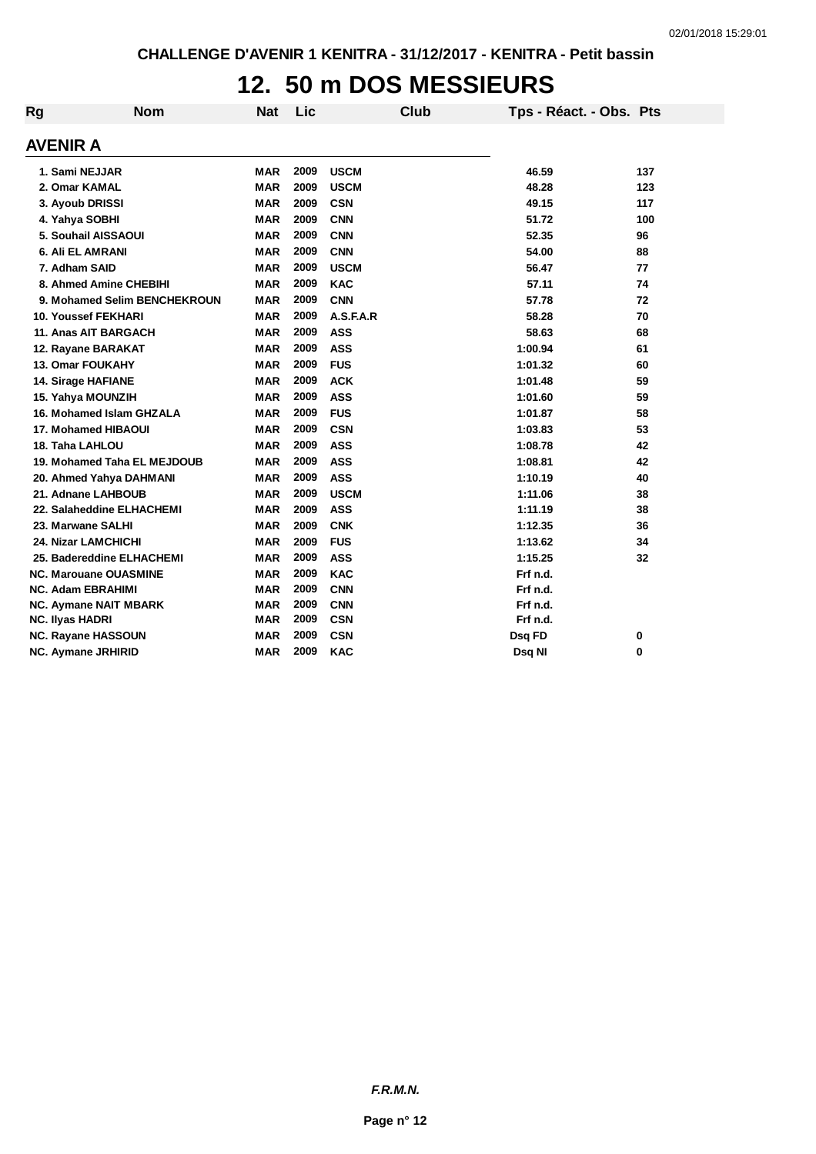## **12. 50 m DOS MESSIEURS**

| Rg | <b>Nom</b>                   | <b>Nat</b> | Lic  | Club        | Tps - Réact. - Obs. Pts |     |
|----|------------------------------|------------|------|-------------|-------------------------|-----|
|    | AVENIR A                     |            |      |             |                         |     |
|    | 1. Sami NEJJAR               | <b>MAR</b> | 2009 | <b>USCM</b> | 46.59                   | 137 |
|    | 2. Omar KAMAL                | <b>MAR</b> | 2009 | <b>USCM</b> | 48.28                   | 123 |
|    | 3. Ayoub DRISSI              | <b>MAR</b> | 2009 | <b>CSN</b>  | 49.15                   | 117 |
|    | 4. Yahya SOBHI               | <b>MAR</b> | 2009 | <b>CNN</b>  | 51.72                   | 100 |
|    | 5. Souhail AISSAOUI          | <b>MAR</b> | 2009 | <b>CNN</b>  | 52.35                   | 96  |
|    | 6. Ali EL AMRANI             | <b>MAR</b> | 2009 | <b>CNN</b>  | 54.00                   | 88  |
|    | 7. Adham SAID                | <b>MAR</b> | 2009 | <b>USCM</b> | 56.47                   | 77  |
|    | 8. Ahmed Amine CHEBIHI       | <b>MAR</b> | 2009 | <b>KAC</b>  | 57.11                   | 74  |
|    | 9. Mohamed Selim BENCHEKROUN | <b>MAR</b> | 2009 | <b>CNN</b>  | 57.78                   | 72  |
|    | <b>10. Youssef FEKHARI</b>   | <b>MAR</b> | 2009 | A.S.F.A.R   | 58.28                   | 70  |
|    | 11. Anas AIT BARGACH         | <b>MAR</b> | 2009 | <b>ASS</b>  | 58.63                   | 68  |
|    | 12. Rayane BARAKAT           | <b>MAR</b> | 2009 | <b>ASS</b>  | 1:00.94                 | 61  |
|    | <b>13. Omar FOUKAHY</b>      | <b>MAR</b> | 2009 | <b>FUS</b>  | 1:01.32                 | 60  |
|    | 14. Sirage HAFIANE           | <b>MAR</b> | 2009 | <b>ACK</b>  | 1:01.48                 | 59  |
|    | 15. Yahya MOUNZIH            | <b>MAR</b> | 2009 | <b>ASS</b>  | 1:01.60                 | 59  |
|    | 16. Mohamed Islam GHZALA     | <b>MAR</b> | 2009 | <b>FUS</b>  | 1:01.87                 | 58  |
|    | <b>17. Mohamed HIBAOUI</b>   | <b>MAR</b> | 2009 | <b>CSN</b>  | 1:03.83                 | 53  |
|    | 18. Taha LAHLOU              | <b>MAR</b> | 2009 | <b>ASS</b>  | 1:08.78                 | 42  |
|    | 19. Mohamed Taha EL MEJDOUB  | <b>MAR</b> | 2009 | <b>ASS</b>  | 1:08.81                 | 42  |
|    | 20. Ahmed Yahya DAHMANI      | <b>MAR</b> | 2009 | <b>ASS</b>  | 1:10.19                 | 40  |
|    | 21. Adnane LAHBOUB           | <b>MAR</b> | 2009 | <b>USCM</b> | 1:11.06                 | 38  |
|    | 22. Salaheddine ELHACHEMI    | <b>MAR</b> | 2009 | <b>ASS</b>  | 1:11.19                 | 38  |
|    | 23. Marwane SALHI            | <b>MAR</b> | 2009 | <b>CNK</b>  | 1:12.35                 | 36  |
|    | <b>24. Nizar LAMCHICHI</b>   | <b>MAR</b> | 2009 | <b>FUS</b>  | 1:13.62                 | 34  |
|    | 25. Badereddine ELHACHEMI    | <b>MAR</b> | 2009 | <b>ASS</b>  | 1:15.25                 | 32  |
|    | <b>NC. Marouane OUASMINE</b> | <b>MAR</b> | 2009 | <b>KAC</b>  | Frf n.d.                |     |
|    | <b>NC. Adam EBRAHIMI</b>     | <b>MAR</b> | 2009 | <b>CNN</b>  | Frf n.d.                |     |
|    | <b>NC. Aymane NAIT MBARK</b> | <b>MAR</b> | 2009 | <b>CNN</b>  | Frf n.d.                |     |
|    | <b>NC. Ilyas HADRI</b>       | <b>MAR</b> | 2009 | <b>CSN</b>  | Frf n.d.                |     |
|    | <b>NC. Rayane HASSOUN</b>    | <b>MAR</b> | 2009 | <b>CSN</b>  | Dsq FD                  | 0   |
|    | NC. Aymane JRHIRID           | <b>MAR</b> | 2009 | <b>KAC</b>  | Dsq NI                  | 0   |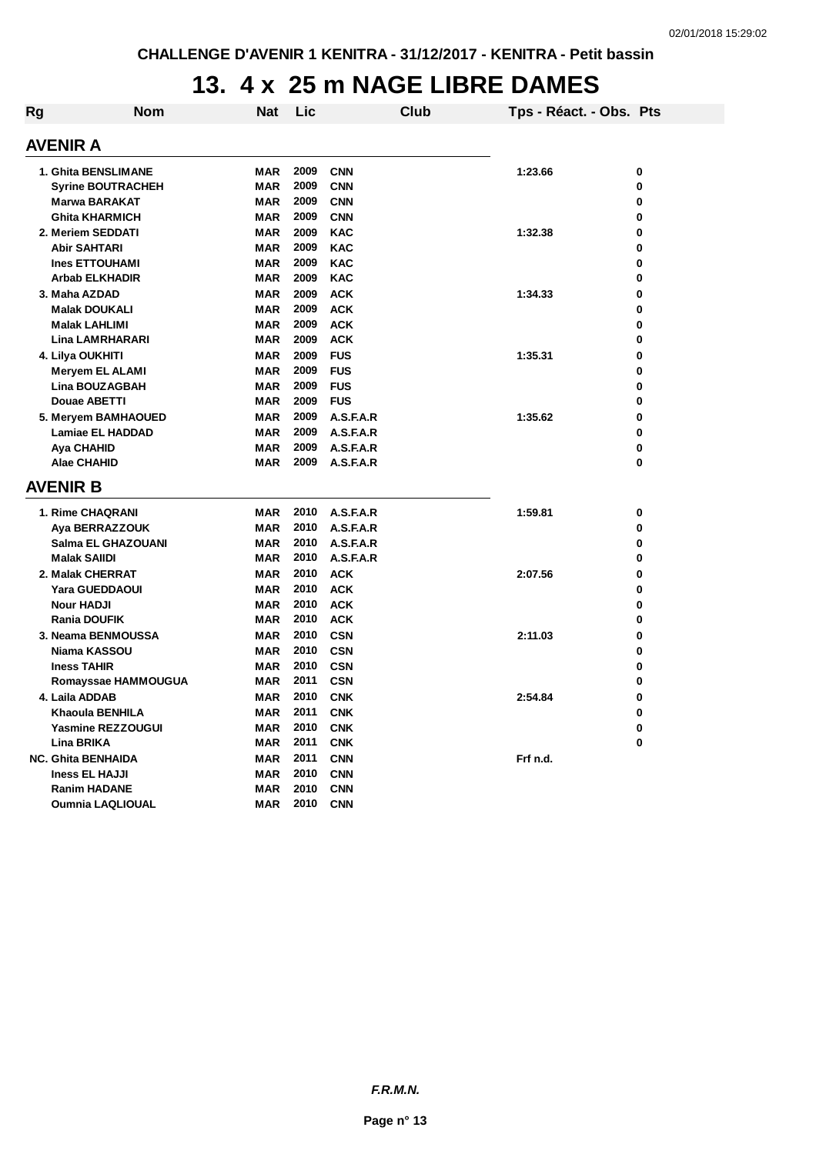## **13. 4 x 25 m NAGE LIBRE DAMES**

| Rg | Nom                                                | Nat                      | Lic  |                          | Club | Tps - Réact. - Obs. Pts |   |
|----|----------------------------------------------------|--------------------------|------|--------------------------|------|-------------------------|---|
|    | AVENIR A                                           |                          |      |                          |      |                         |   |
|    | 1. Ghita BENSLIMANE                                | <b>MAR</b>               | 2009 | <b>CNN</b>               |      | 1:23.66                 | 0 |
|    | <b>Syrine BOUTRACHEH</b>                           | <b>MAR</b>               | 2009 | <b>CNN</b>               |      |                         | 0 |
|    | <b>Marwa BARAKAT</b>                               | <b>MAR</b>               | 2009 | <b>CNN</b>               |      |                         | 0 |
|    | <b>Ghita KHARMICH</b>                              | <b>MAR</b>               | 2009 | <b>CNN</b>               |      |                         | 0 |
|    | 2. Meriem SEDDATI                                  | <b>MAR</b>               | 2009 | <b>KAC</b>               |      | 1:32.38                 | 0 |
|    | <b>Abir SAHTARI</b>                                | <b>MAR</b>               | 2009 | <b>KAC</b>               |      |                         | 0 |
|    | <b>Ines ETTOUHAMI</b>                              | <b>MAR</b>               | 2009 | <b>KAC</b>               |      |                         | 0 |
|    | Arbab ELKHADIR                                     | MAR                      | 2009 | <b>KAC</b>               |      |                         | 0 |
|    | 3. Maha AZDAD                                      | MAR                      | 2009 | <b>ACK</b>               |      | 1:34.33                 | 0 |
|    | <b>Malak DOUKALI</b>                               | <b>MAR</b>               | 2009 | <b>ACK</b>               |      |                         | 0 |
|    | <b>Malak LAHLIMI</b>                               | <b>MAR</b>               | 2009 | <b>ACK</b>               |      |                         | 0 |
|    | <b>Lina LAMRHARARI</b>                             | <b>MAR</b>               | 2009 | <b>ACK</b>               |      |                         | 0 |
|    | 4. Lilya OUKHITI                                   | <b>MAR</b>               | 2009 | <b>FUS</b>               |      | 1:35.31                 | 0 |
|    | <b>Meryem EL ALAMI</b>                             | MAR                      | 2009 | <b>FUS</b>               |      |                         | 0 |
|    | <b>Lina BOUZAGBAH</b>                              | MAR                      | 2009 | <b>FUS</b>               |      |                         | 0 |
|    | <b>Douae ABETTI</b>                                | MAR                      | 2009 | <b>FUS</b>               |      |                         | 0 |
|    | <b>5. Meryem BAMHAOUED</b>                         | <b>MAR</b>               | 2009 | A.S.F.A.R                |      | 1:35.62                 | 0 |
|    | <b>Lamiae EL HADDAD</b>                            | <b>MAR</b>               | 2009 | A.S.F.A.R                |      |                         | 0 |
|    | Aya CHAHID                                         | <b>MAR</b>               | 2009 | A.S.F.A.R                |      |                         | 0 |
|    | <b>Alae CHAHID</b>                                 | MAR                      | 2009 | A.S.F.A.R                |      |                         | 0 |
|    | <b>AVENIR B</b>                                    |                          |      |                          |      |                         |   |
|    | 1. Rime CHAQRANI                                   | <b>MAR</b>               | 2010 | A.S.F.A.R                |      | 1:59.81                 | 0 |
|    | Aya BERRAZZOUK                                     | MAR                      | 2010 | A.S.F.A.R                |      |                         | 0 |
|    | Salma EL GHAZOUANI                                 | <b>MAR</b>               | 2010 | A.S.F.A.R                |      |                         | 0 |
|    | <b>Malak SAIIDI</b>                                | MAR                      | 2010 | A.S.F.A.R                |      |                         | 0 |
|    | 2. Malak CHERRAT                                   | <b>MAR</b>               | 2010 | <b>ACK</b>               |      | 2:07.56                 | 0 |
|    | Yara GUEDDAOUI                                     | <b>MAR</b>               | 2010 | <b>ACK</b>               |      |                         | 0 |
|    | <b>Nour HADJI</b>                                  | <b>MAR</b>               | 2010 | <b>ACK</b>               |      |                         | 0 |
|    | <b>Rania DOUFIK</b>                                | MAR                      | 2010 | <b>ACK</b>               |      |                         | 0 |
|    | 3. Neama BENMOUSSA                                 | <b>MAR</b>               | 2010 | <b>CSN</b>               |      | 2:11.03                 | 0 |
|    | Niama KASSOU                                       | MAR                      | 2010 | <b>CSN</b>               |      |                         | 0 |
|    | <b>Iness TAHIR</b>                                 | <b>MAR</b>               | 2010 | <b>CSN</b>               |      |                         | 0 |
|    | Romayssae HAMMOUGUA                                | MAR                      | 2011 | <b>CSN</b>               |      |                         | 0 |
|    |                                                    | <b>MAR</b>               | 2010 | <b>CNK</b>               |      | 2:54.84                 | 0 |
|    | 4. Laila ADDAB<br>Khaoula BENHILA                  | <b>MAR</b>               | 2011 | <b>CNK</b>               |      |                         | 0 |
|    | <b>Yasmine REZZOUGUI</b>                           | <b>MAR</b>               | 2010 | <b>CNK</b>               |      |                         | 0 |
|    | <b>Lina BRIKA</b>                                  | <b>MAR</b>               | 2011 | <b>CNK</b>               |      |                         | 0 |
|    |                                                    |                          | 2011 |                          |      | Frf n.d.                |   |
|    | <b>NC. Ghita BENHAIDA</b><br><b>Iness EL HAJJI</b> | <b>MAR</b><br><b>MAR</b> | 2010 | <b>CNN</b><br><b>CNN</b> |      |                         |   |
|    | <b>Ranim HADANE</b>                                | <b>MAR</b>               | 2010 | <b>CNN</b>               |      |                         |   |
|    | <b>Oumnia LAQLIOUAL</b>                            | <b>MAR</b>               | 2010 | <b>CNN</b>               |      |                         |   |
|    |                                                    |                          |      |                          |      |                         |   |